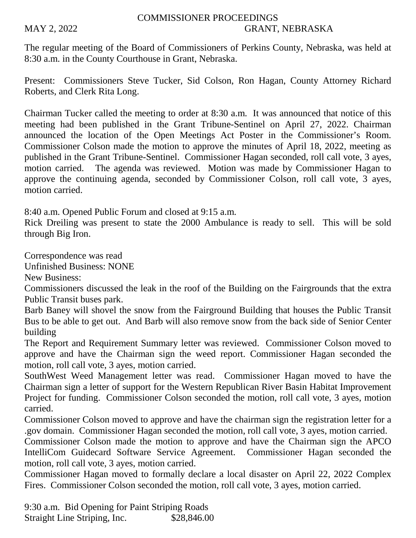## COMMISSIONER PROCEEDINGS MAY 2, 2022 GRANT, NEBRASKA

The regular meeting of the Board of Commissioners of Perkins County, Nebraska, was held at 8:30 a.m. in the County Courthouse in Grant, Nebraska.

Present: Commissioners Steve Tucker, Sid Colson, Ron Hagan, County Attorney Richard Roberts, and Clerk Rita Long.

Chairman Tucker called the meeting to order at 8:30 a.m. It was announced that notice of this meeting had been published in the Grant Tribune-Sentinel on April 27, 2022. Chairman announced the location of the Open Meetings Act Poster in the Commissioner's Room. Commissioner Colson made the motion to approve the minutes of April 18, 2022, meeting as published in the Grant Tribune-Sentinel. Commissioner Hagan seconded, roll call vote, 3 ayes, motion carried. The agenda was reviewed. Motion was made by Commissioner Hagan to approve the continuing agenda, seconded by Commissioner Colson, roll call vote, 3 ayes, motion carried.

8:40 a.m. Opened Public Forum and closed at 9:15 a.m.

Rick Dreiling was present to state the 2000 Ambulance is ready to sell. This will be sold through Big Iron.

Correspondence was read

Unfinished Business: NONE

New Business:

Commissioners discussed the leak in the roof of the Building on the Fairgrounds that the extra Public Transit buses park.

Barb Baney will shovel the snow from the Fairground Building that houses the Public Transit Bus to be able to get out. And Barb will also remove snow from the back side of Senior Center building

The Report and Requirement Summary letter was reviewed. Commissioner Colson moved to approve and have the Chairman sign the weed report. Commissioner Hagan seconded the motion, roll call vote, 3 ayes, motion carried.

SouthWest Weed Management letter was read. Commissioner Hagan moved to have the Chairman sign a letter of support for the Western Republican River Basin Habitat Improvement Project for funding. Commissioner Colson seconded the motion, roll call vote, 3 ayes, motion carried.

Commissioner Colson moved to approve and have the chairman sign the registration letter for a .gov domain. Commissioner Hagan seconded the motion, roll call vote, 3 ayes, motion carried.

Commissioner Colson made the motion to approve and have the Chairman sign the APCO IntelliCom Guidecard Software Service Agreement. Commissioner Hagan seconded the motion, roll call vote, 3 ayes, motion carried.

Commissioner Hagan moved to formally declare a local disaster on April 22, 2022 Complex Fires. Commissioner Colson seconded the motion, roll call vote, 3 ayes, motion carried.

9:30 a.m. Bid Opening for Paint Striping Roads Straight Line Striping, Inc.  $$28,846.00$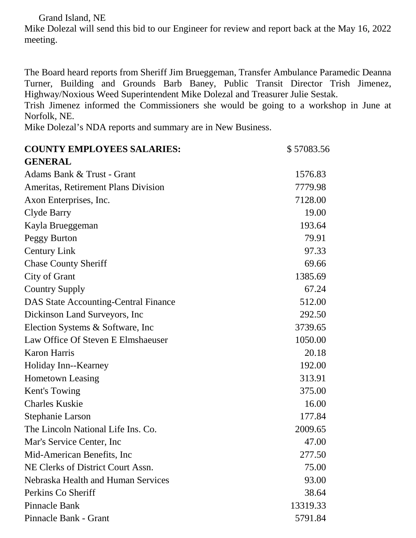Grand Island, NE

Mike Dolezal will send this bid to our Engineer for review and report back at the May 16, 2022 meeting.

The Board heard reports from Sheriff Jim Brueggeman, Transfer Ambulance Paramedic Deanna Turner, Building and Grounds Barb Baney, Public Transit Director Trish Jimenez, Highway/Noxious Weed Superintendent Mike Dolezal and Treasurer Julie Sestak.

Trish Jimenez informed the Commissioners she would be going to a workshop in June at Norfolk, NE.

Mike Dolezal's NDA reports and summary are in New Business.

| <b>COUNTY EMPLOYEES SALARIES:</b>           | \$57083.56 |
|---------------------------------------------|------------|
| <b>GENERAL</b>                              |            |
| Adams Bank & Trust - Grant                  | 1576.83    |
| <b>Ameritas, Retirement Plans Division</b>  | 7779.98    |
| Axon Enterprises, Inc.                      | 7128.00    |
| Clyde Barry                                 | 19.00      |
| Kayla Brueggeman                            | 193.64     |
| Peggy Burton                                | 79.91      |
| <b>Century Link</b>                         | 97.33      |
| <b>Chase County Sheriff</b>                 | 69.66      |
| City of Grant                               | 1385.69    |
| <b>Country Supply</b>                       | 67.24      |
| <b>DAS State Accounting-Central Finance</b> | 512.00     |
| Dickinson Land Surveyors, Inc.              | 292.50     |
| Election Systems & Software, Inc.           | 3739.65    |
| Law Office Of Steven E Elmshaeuser          | 1050.00    |
| <b>Karon Harris</b>                         | 20.18      |
| Holiday Inn--Kearney                        | 192.00     |
| <b>Hometown Leasing</b>                     | 313.91     |
| Kent's Towing                               | 375.00     |
| <b>Charles Kuskie</b>                       | 16.00      |
| <b>Stephanie Larson</b>                     | 177.84     |
| The Lincoln National Life Ins. Co.          | 2009.65    |
| Mar's Service Center, Inc.                  | 47.00      |
| Mid-American Benefits, Inc.                 | 277.50     |
| NE Clerks of District Court Assn.           | 75.00      |
| Nebraska Health and Human Services          | 93.00      |
| Perkins Co Sheriff                          | 38.64      |
| Pinnacle Bank                               | 13319.33   |
| Pinnacle Bank - Grant                       | 5791.84    |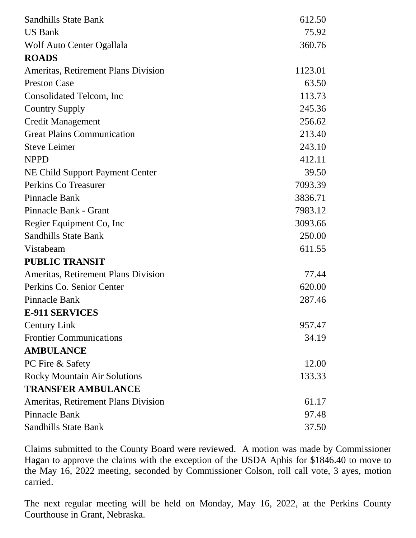| <b>Sandhills State Bank</b>                | 612.50  |
|--------------------------------------------|---------|
| <b>US Bank</b>                             | 75.92   |
| Wolf Auto Center Ogallala                  | 360.76  |
| <b>ROADS</b>                               |         |
| <b>Ameritas, Retirement Plans Division</b> | 1123.01 |
| <b>Preston Case</b>                        | 63.50   |
| Consolidated Telcom, Inc.                  | 113.73  |
| <b>Country Supply</b>                      | 245.36  |
| Credit Management                          | 256.62  |
| <b>Great Plains Communication</b>          | 213.40  |
| <b>Steve Leimer</b>                        | 243.10  |
| <b>NPPD</b>                                | 412.11  |
| NE Child Support Payment Center            | 39.50   |
| Perkins Co Treasurer                       | 7093.39 |
| Pinnacle Bank                              | 3836.71 |
| Pinnacle Bank - Grant                      | 7983.12 |
| Regier Equipment Co, Inc.                  | 3093.66 |
| <b>Sandhills State Bank</b>                | 250.00  |
| Vistabeam                                  | 611.55  |
| <b>PUBLIC TRANSIT</b>                      |         |
| <b>Ameritas, Retirement Plans Division</b> | 77.44   |
| Perkins Co. Senior Center                  | 620.00  |
| Pinnacle Bank                              | 287.46  |
| <b>E-911 SERVICES</b>                      |         |
| <b>Century Link</b>                        | 957.47  |
| <b>Frontier Communications</b>             | 34.19   |
| <b>AMBULANCE</b>                           |         |
| PC Fire & Safety                           | 12.00   |
| <b>Rocky Mountain Air Solutions</b>        | 133.33  |
| <b>TRANSFER AMBULANCE</b>                  |         |
| Ameritas, Retirement Plans Division        | 61.17   |
| <b>Pinnacle Bank</b>                       | 97.48   |
| <b>Sandhills State Bank</b>                | 37.50   |

Claims submitted to the County Board were reviewed. A motion was made by Commissioner Hagan to approve the claims with the exception of the USDA Aphis for \$1846.40 to move to the May 16, 2022 meeting, seconded by Commissioner Colson, roll call vote, 3 ayes, motion carried.

The next regular meeting will be held on Monday, May 16, 2022, at the Perkins County Courthouse in Grant, Nebraska.